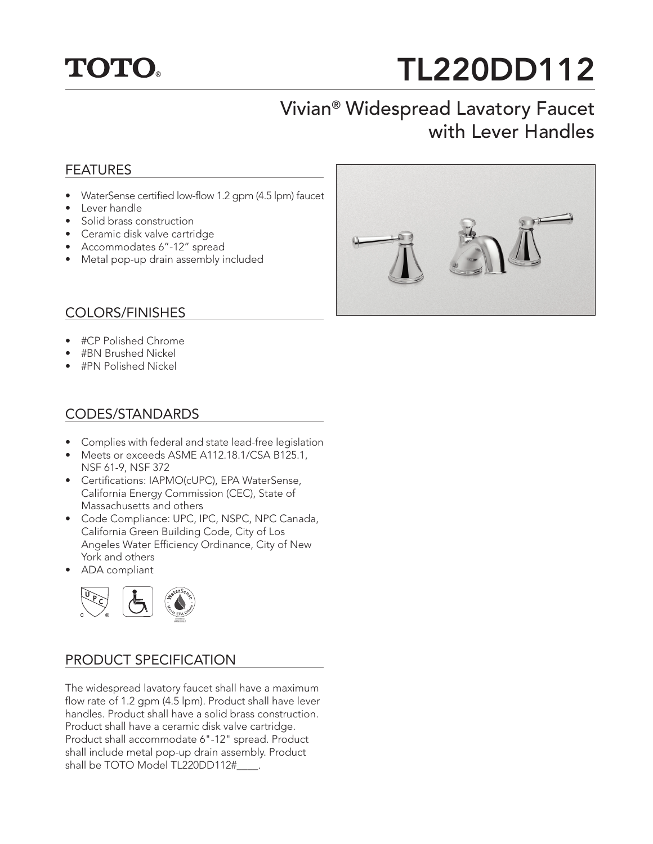

# TL220DD112

## Vivian® Widespread Lavatory Faucet with Lever Handles

### FEATURES

- WaterSense certified low-flow 1.2 gpm (4.5 lpm) faucet
- Lever handle
- Solid brass construction
- Ceramic disk valve cartridge
- Accommodates 6"-12" spread
- Metal pop-up drain assembly included

### COLORS/FINISHES

- #CP Polished Chrome
- #BN Brushed Nickel
- #PN Polished Nickel

#### CODES/STANDARDS

- Complies with federal and state lead-free legislation
- Meets or exceeds ASME A112.18.1/CSA B125.1, NSF 61-9, NSF 372
- Certifications: IAPMO(cUPC), EPA WaterSense, California Energy Commission (CEC), State of Massachusetts and others
- Code Compliance: UPC, IPC, NSPC, NPC Canada, California Green Building Code, City of Los Angeles Water Efficiency Ordinance, City of New York and others
- ADA compliant



#### PRODUCT SPECIFICATION

The widespread lavatory faucet shall have a maximum flow rate of 1.2 gpm (4.5 lpm). Product shall have lever handles. Product shall have a solid brass construction. Product shall have a ceramic disk valve cartridge. Product shall accommodate 6"-12" spread. Product shall include metal pop-up drain assembly. Product shall be TOTO Model TL220DD112#\_\_\_\_.